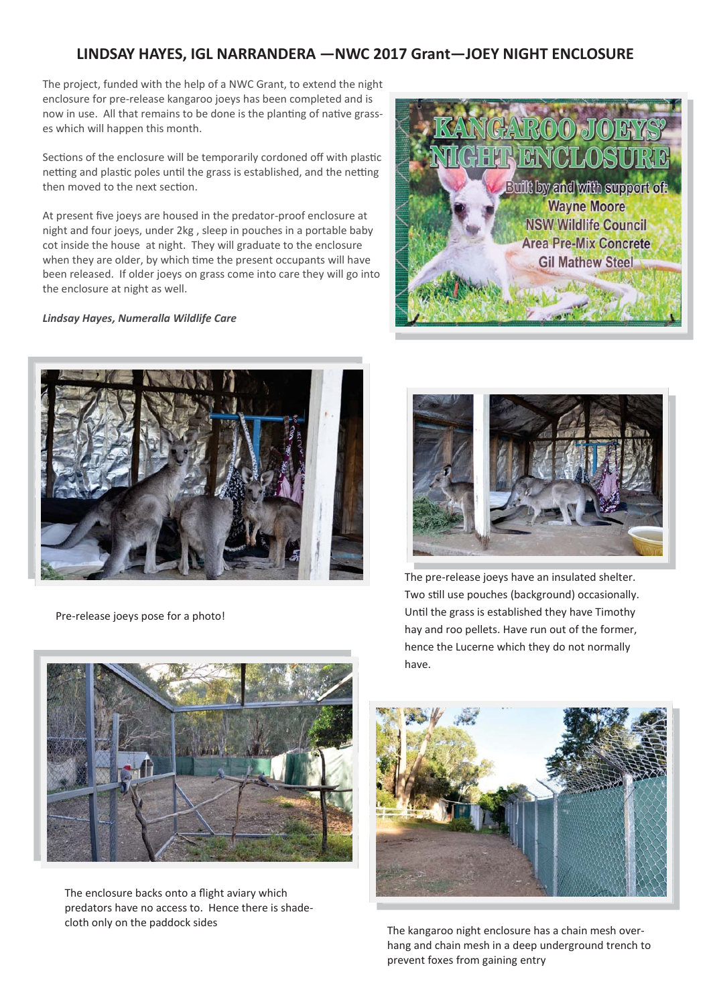## **LINDSAY HAYES, IGL NARRANDERA —NWC 2017 Grant—JOEY NIGHT ENCLOSURE**

The project, funded with the help of a NWC Grant, to extend the night enclosure for pre-release kangaroo joeys has been completed and is now in use. All that remains to be done is the planting of native grasses which will happen this month.

Sections of the enclosure will be temporarily cordoned off with plastic netting and plastic poles until the grass is established, and the netting then moved to the next section.

At present five joeys are housed in the predator-proof enclosure at night and four joeys, under 2kg , sleep in pouches in a portable baby cot inside the house at night. They will graduate to the enclosure when they are older, by which time the present occupants will have been released. If older joeys on grass come into care they will go into the enclosure at night as well.

*Lindsay Hayes, Numeralla Wildlife Care*



Pre-release joeys pose for a photo!





The pre-release joeys have an insulated shelter. Two still use pouches (background) occasionally. Until the grass is established they have Timothy hay and roo pellets. Have run out of the former, hence the Lucerne which they do not normally have.



The enclosure backs onto a flight aviary which predators have no access to. Hence there is shadecloth only on the paddock sides



The kangaroo night enclosure has a chain mesh overhang and chain mesh in a deep underground trench to prevent foxes from gaining entry